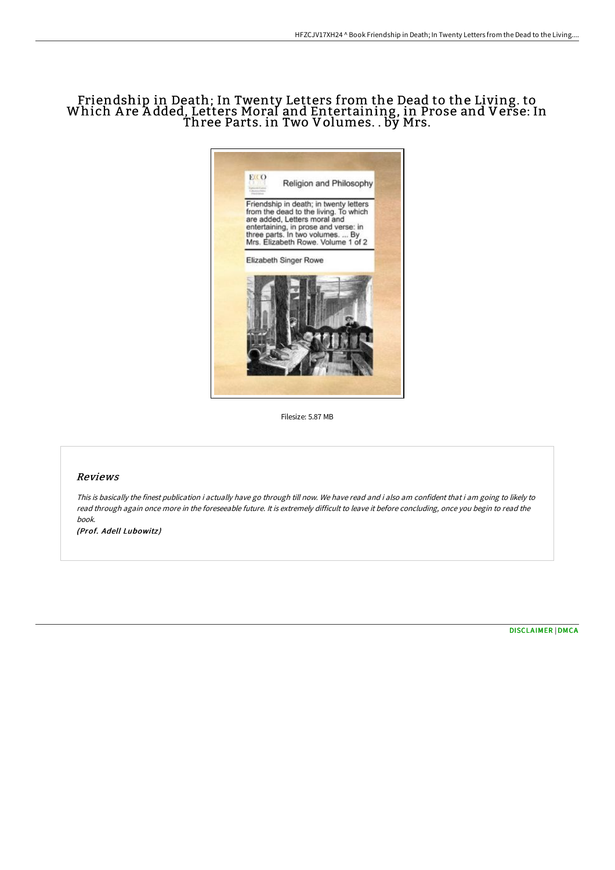## Friendship in Death; In Twenty Letters from the Dead to the Living. to Which A re A dded, Letters Moral and Entertaining, in Prose and Verse: In Three Parts. in Two Volumes. . by Mrs.



Filesize: 5.87 MB

## Reviews

This is basically the finest publication i actually have go through till now. We have read and i also am confident that i am going to likely to read through again once more in the foreseeable future. It is extremely difficult to leave it before concluding, once you begin to read the book.

(Prof. Adell Lubowitz)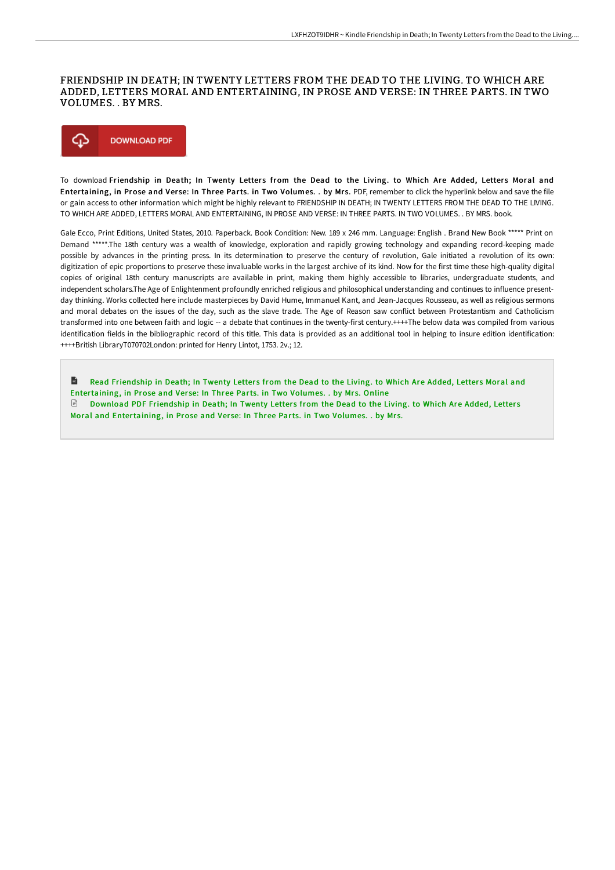## FRIENDSHIP IN DEATH; IN TWENTY LETTERS FROM THE DEAD TO THE LIVING. TO WHICH ARE ADDED, LETTERS MORAL AND ENTERTAINING, IN PROSE AND VERSE: IN THREE PARTS. IN TWO VOLUMES. . BY MRS.



To download Friendship in Death; In Twenty Letters from the Dead to the Living. to Which Are Added, Letters Moral and Entertaining, in Prose and Verse: In Three Parts. in Two Volumes. . by Mrs. PDF, remember to click the hyperlink below and save the file or gain access to other information which might be highly relevant to FRIENDSHIP IN DEATH; IN TWENTY LETTERS FROM THE DEAD TO THE LIVING. TO WHICH ARE ADDED, LETTERS MORAL AND ENTERTAINING, IN PROSE AND VERSE: IN THREE PARTS. IN TWO VOLUMES. . BY MRS. book.

Gale Ecco, Print Editions, United States, 2010. Paperback. Book Condition: New. 189 x 246 mm. Language: English . Brand New Book \*\*\*\*\* Print on Demand \*\*\*\*\*.The 18th century was a wealth of knowledge, exploration and rapidly growing technology and expanding record-keeping made possible by advances in the printing press. In its determination to preserve the century of revolution, Gale initiated a revolution of its own: digitization of epic proportions to preserve these invaluable works in the largest archive of its kind. Now for the first time these high-quality digital copies of original 18th century manuscripts are available in print, making them highly accessible to libraries, undergraduate students, and independent scholars.The Age of Enlightenment profoundly enriched religious and philosophical understanding and continues to influence presentday thinking. Works collected here include masterpieces by David Hume, Immanuel Kant, and Jean-Jacques Rousseau, as well as religious sermons and moral debates on the issues of the day, such as the slave trade. The Age of Reason saw conflict between Protestantism and Catholicism transformed into one between faith and logic -- a debate that continues in the twenty-first century.++++The below data was compiled from various identification fields in the bibliographic record of this title. This data is provided as an additional tool in helping to insure edition identification: ++++British LibraryT070702London: printed for Henry Lintot, 1753. 2v.; 12.

h Read Friendship in Death; In Twenty Letters from the Dead to the Living. to Which Are Added, Letters Moral and [Entertaining,](http://digilib.live/friendship-in-death-in-twenty-letters-from-the-d-4.html) in Prose and Verse: In Three Parts. in Two Volumes. . by Mrs. Online Download PDF Friendship in Death; In Twenty Letters from the Dead to the Living. to Which Are Added, Letters Moral and [Entertaining,](http://digilib.live/friendship-in-death-in-twenty-letters-from-the-d-4.html) in Prose and Verse: In Three Parts. in Two Volumes. . by Mrs.